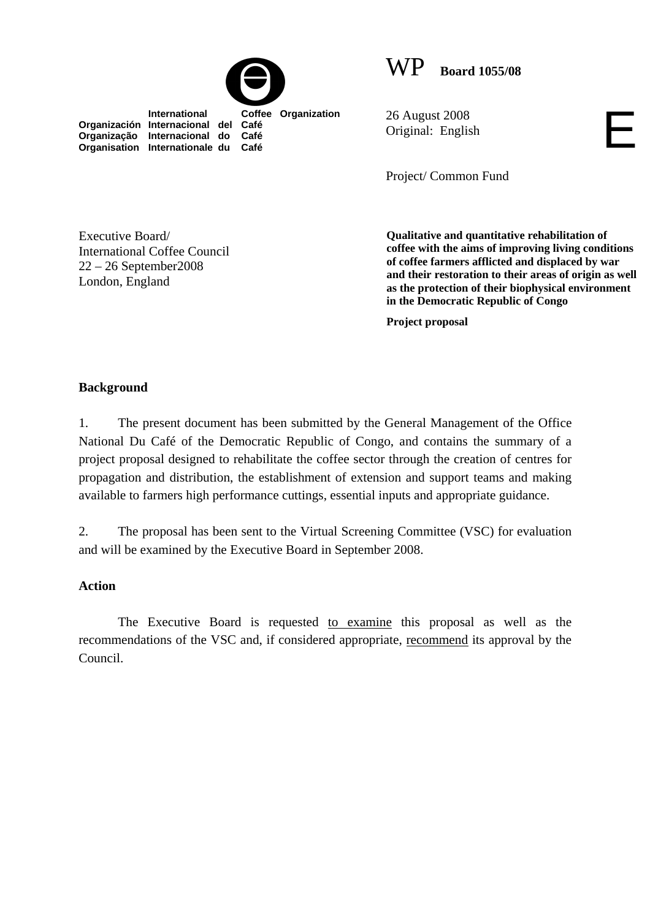

WP **Board 1055/08**

 **International Coffee Organization Organización Internacional del Café Organização Internacional do Café Organisation Internationale du** 

26 August 2008 Original: English

Project/ Common Fund

Executive Board/ International Coffee Council 22 – 26 September2008 London, England

**Qualitative and quantitative rehabilitation of coffee with the aims of improving living conditions of coffee farmers afflicted and displaced by war and their restoration to their areas of origin as well as the protection of their biophysical environment in the Democratic Republic of Congo** 

E

**Project proposal**

## **Background**

1. The present document has been submitted by the General Management of the Office National Du Café of the Democratic Republic of Congo, and contains the summary of a project proposal designed to rehabilitate the coffee sector through the creation of centres for propagation and distribution, the establishment of extension and support teams and making available to farmers high performance cuttings, essential inputs and appropriate guidance.

2. The proposal has been sent to the Virtual Screening Committee (VSC) for evaluation and will be examined by the Executive Board in September 2008.

#### **Action**

The Executive Board is requested to examine this proposal as well as the recommendations of the VSC and, if considered appropriate, recommend its approval by the Council.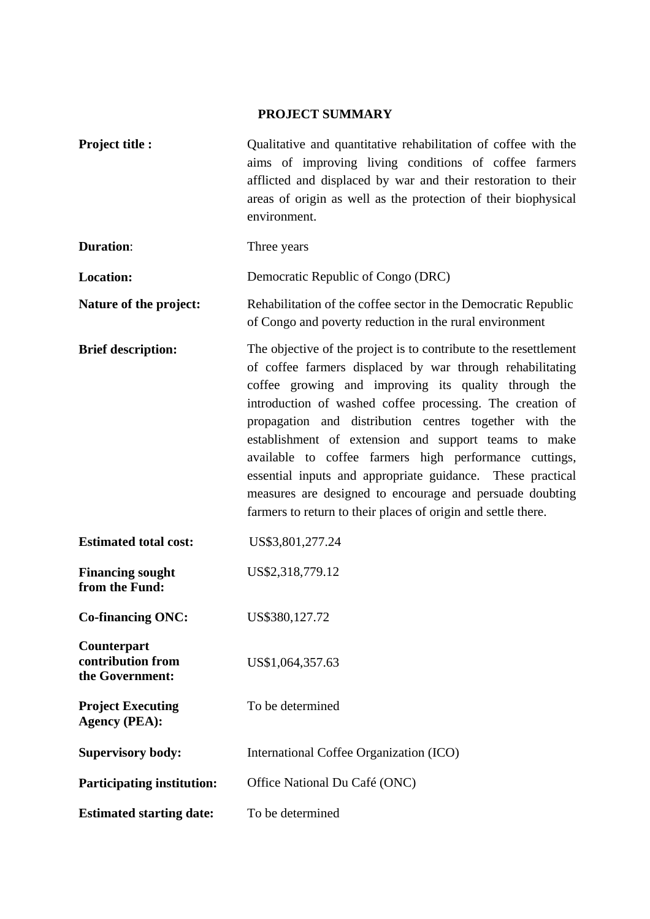# **PROJECT SUMMARY**

| <b>Project title:</b>                               | Qualitative and quantitative rehabilitation of coffee with the<br>aims of improving living conditions of coffee farmers<br>afflicted and displaced by war and their restoration to their<br>areas of origin as well as the protection of their biophysical<br>environment.                                                                                                                                                                                                                                                                                                                                                 |
|-----------------------------------------------------|----------------------------------------------------------------------------------------------------------------------------------------------------------------------------------------------------------------------------------------------------------------------------------------------------------------------------------------------------------------------------------------------------------------------------------------------------------------------------------------------------------------------------------------------------------------------------------------------------------------------------|
| <b>Duration:</b>                                    | Three years                                                                                                                                                                                                                                                                                                                                                                                                                                                                                                                                                                                                                |
| Location:                                           | Democratic Republic of Congo (DRC)                                                                                                                                                                                                                                                                                                                                                                                                                                                                                                                                                                                         |
| Nature of the project:                              | Rehabilitation of the coffee sector in the Democratic Republic<br>of Congo and poverty reduction in the rural environment                                                                                                                                                                                                                                                                                                                                                                                                                                                                                                  |
| <b>Brief description:</b>                           | The objective of the project is to contribute to the resettlement<br>of coffee farmers displaced by war through rehabilitating<br>coffee growing and improving its quality through the<br>introduction of washed coffee processing. The creation of<br>propagation and distribution centres together with the<br>establishment of extension and support teams to make<br>available to coffee farmers high performance cuttings,<br>essential inputs and appropriate guidance. These practical<br>measures are designed to encourage and persuade doubting<br>farmers to return to their places of origin and settle there. |
| <b>Estimated total cost:</b>                        | US\$3,801,277.24                                                                                                                                                                                                                                                                                                                                                                                                                                                                                                                                                                                                           |
| <b>Financing sought</b><br>from the Fund:           | US\$2,318,779.12                                                                                                                                                                                                                                                                                                                                                                                                                                                                                                                                                                                                           |
| <b>Co-financing ONC:</b>                            | US\$380,127.72                                                                                                                                                                                                                                                                                                                                                                                                                                                                                                                                                                                                             |
| Counterpart<br>contribution from<br>the Government: | US\$1,064,357.63                                                                                                                                                                                                                                                                                                                                                                                                                                                                                                                                                                                                           |
| <b>Project Executing</b><br><b>Agency (PEA):</b>    | To be determined                                                                                                                                                                                                                                                                                                                                                                                                                                                                                                                                                                                                           |
| <b>Supervisory body:</b>                            | International Coffee Organization (ICO)                                                                                                                                                                                                                                                                                                                                                                                                                                                                                                                                                                                    |
| <b>Participating institution:</b>                   | Office National Du Café (ONC)                                                                                                                                                                                                                                                                                                                                                                                                                                                                                                                                                                                              |
| <b>Estimated starting date:</b>                     | To be determined                                                                                                                                                                                                                                                                                                                                                                                                                                                                                                                                                                                                           |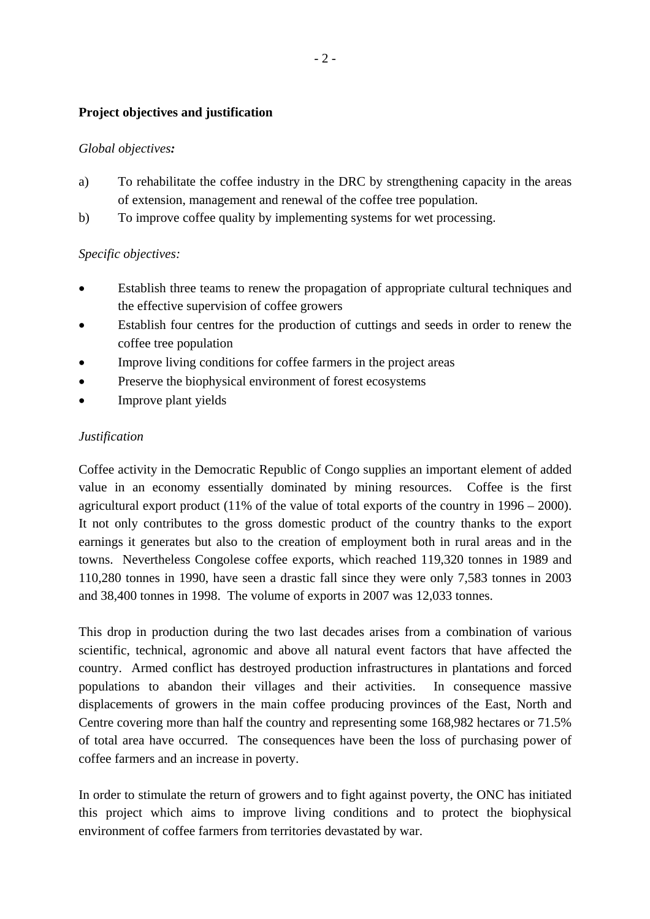## **Project objectives and justification**

### *Global objectives:*

- a) To rehabilitate the coffee industry in the DRC by strengthening capacity in the areas of extension, management and renewal of the coffee tree population.
- b) To improve coffee quality by implementing systems for wet processing.

## *Specific objectives:*

- Establish three teams to renew the propagation of appropriate cultural techniques and the effective supervision of coffee growers
- Establish four centres for the production of cuttings and seeds in order to renew the coffee tree population
- Improve living conditions for coffee farmers in the project areas
- Preserve the biophysical environment of forest ecosystems
- Improve plant yields

### *Justification*

Coffee activity in the Democratic Republic of Congo supplies an important element of added value in an economy essentially dominated by mining resources. Coffee is the first agricultural export product (11% of the value of total exports of the country in 1996 – 2000). It not only contributes to the gross domestic product of the country thanks to the export earnings it generates but also to the creation of employment both in rural areas and in the towns. Nevertheless Congolese coffee exports, which reached 119,320 tonnes in 1989 and 110,280 tonnes in 1990, have seen a drastic fall since they were only 7,583 tonnes in 2003 and 38,400 tonnes in 1998. The volume of exports in 2007 was 12,033 tonnes.

This drop in production during the two last decades arises from a combination of various scientific, technical, agronomic and above all natural event factors that have affected the country. Armed conflict has destroyed production infrastructures in plantations and forced populations to abandon their villages and their activities. In consequence massive displacements of growers in the main coffee producing provinces of the East, North and Centre covering more than half the country and representing some 168,982 hectares or 71.5% of total area have occurred. The consequences have been the loss of purchasing power of coffee farmers and an increase in poverty.

In order to stimulate the return of growers and to fight against poverty, the ONC has initiated this project which aims to improve living conditions and to protect the biophysical environment of coffee farmers from territories devastated by war.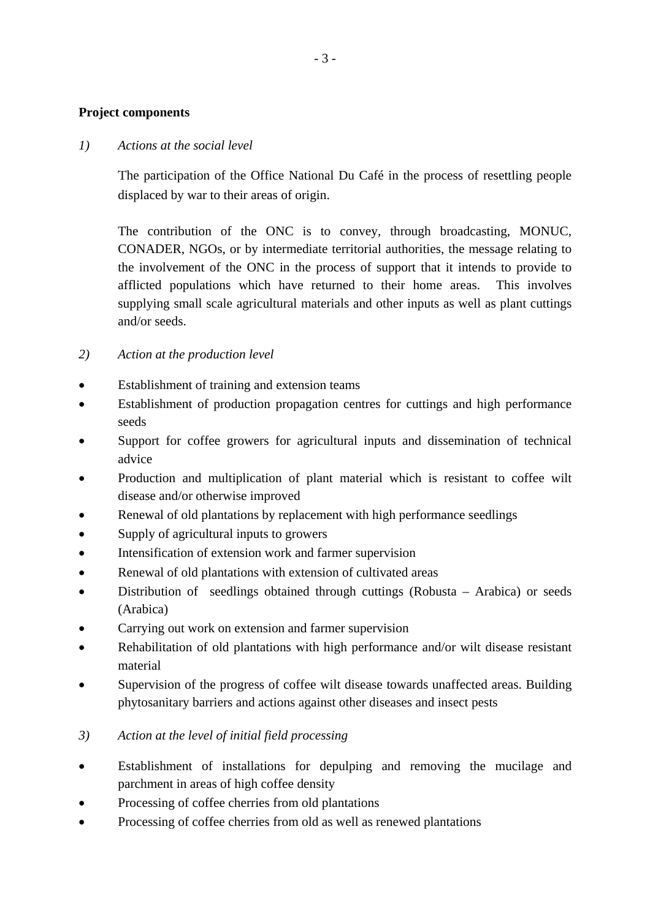### **Project components**

#### *1) Actions at the social level*

The participation of the Office National Du Café in the process of resettling people displaced by war to their areas of origin.

The contribution of the ONC is to convey, through broadcasting, MONUC, CONADER, NGOs, or by intermediate territorial authorities, the message relating to the involvement of the ONC in the process of support that it intends to provide to afflicted populations which have returned to their home areas. This involves supplying small scale agricultural materials and other inputs as well as plant cuttings and/or seeds.

## *2) Action at the production level*

- Establishment of training and extension teams
- Establishment of production propagation centres for cuttings and high performance seeds
- Support for coffee growers for agricultural inputs and dissemination of technical advice
- Production and multiplication of plant material which is resistant to coffee wilt disease and/or otherwise improved
- Renewal of old plantations by replacement with high performance seedlings
- Supply of agricultural inputs to growers
- Intensification of extension work and farmer supervision
- Renewal of old plantations with extension of cultivated areas
- Distribution of seedlings obtained through cuttings (Robusta Arabica) or seeds (Arabica)
- Carrying out work on extension and farmer supervision
- Rehabilitation of old plantations with high performance and/or wilt disease resistant material
- Supervision of the progress of coffee wilt disease towards unaffected areas. Building phytosanitary barriers and actions against other diseases and insect pests

## *3) Action at the level of initial field processing*

- Establishment of installations for depulping and removing the mucilage and parchment in areas of high coffee density
- Processing of coffee cherries from old plantations
- Processing of coffee cherries from old as well as renewed plantations